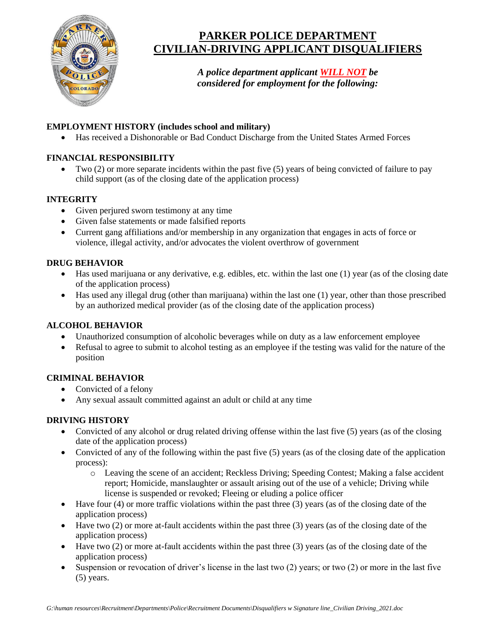

# **PARKER POLICE DEPARTMENT CIVILIAN-DRIVING APPLICANT DISQUALIFIERS**

*A police department applicant WILL NOT be considered for employment for the following:*

### **EMPLOYMENT HISTORY (includes school and military)**

• Has received a Dishonorable or Bad Conduct Discharge from the United States Armed Forces

### **FINANCIAL RESPONSIBILITY**

• Two (2) or more separate incidents within the past five (5) years of being convicted of failure to pay child support (as of the closing date of the application process)

### **INTEGRITY**

- Given perjured sworn testimony at any time
- Given false statements or made falsified reports
- Current gang affiliations and/or membership in any organization that engages in acts of force or violence, illegal activity, and/or advocates the violent overthrow of government

### **DRUG BEHAVIOR**

- $\bullet$  Has used marijuana or any derivative, e.g. edibles, etc. within the last one (1) year (as of the closing date of the application process)
- Has used any illegal drug (other than marijuana) within the last one (1) year, other than those prescribed by an authorized medical provider (as of the closing date of the application process)

### **ALCOHOL BEHAVIOR**

- Unauthorized consumption of alcoholic beverages while on duty as a law enforcement employee
- Refusal to agree to submit to alcohol testing as an employee if the testing was valid for the nature of the position

## **CRIMINAL BEHAVIOR**

- Convicted of a felony
- Any sexual assault committed against an adult or child at any time

### **DRIVING HISTORY**

- Convicted of any alcohol or drug related driving offense within the last five (5) years (as of the closing date of the application process)
- Convicted of any of the following within the past five (5) years (as of the closing date of the application process):
	- o Leaving the scene of an accident; Reckless Driving; Speeding Contest; Making a false accident report; Homicide, manslaughter or assault arising out of the use of a vehicle; Driving while license is suspended or revoked; Fleeing or eluding a police officer
- Have four (4) or more traffic violations within the past three (3) years (as of the closing date of the application process)
- Have two (2) or more at-fault accidents within the past three (3) years (as of the closing date of the application process)
- Have two (2) or more at-fault accidents within the past three (3) years (as of the closing date of the application process)
- Suspension or revocation of driver's license in the last two (2) years; or two (2) or more in the last five (5) years.